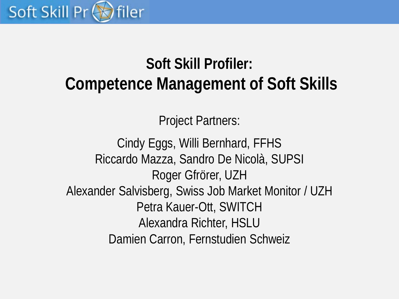

# **Soft Skill Profiler: Competence Management of Soft Skills**

Project Partners:

Cindy Eggs, Willi Bernhard, FFHS Riccardo Mazza, Sandro De Nicolà, SUPSI Roger Gfrörer, UZH Alexander Salvisberg, Swiss Job Market Monitor / UZH Petra Kauer-Ott, SWITCH Alexandra Richter, HSLU Damien Carron, Fernstudien Schweiz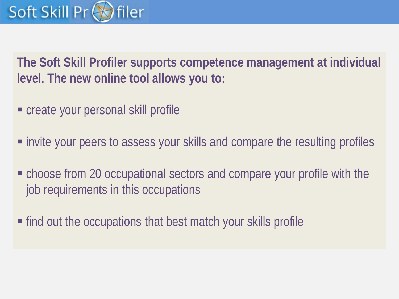### Soft Skill Pr filer

**The Soft Skill Profiler supports competence management at individual level. The new online tool allows you to:**

- create your personal skill profile
- invite your peers to assess your skills and compare the resulting profiles
- choose from 20 occupational sectors and compare your profile with the job requirements in this occupations
- find out the occupations that best match your skills profile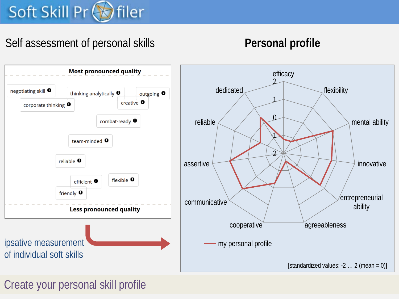# Soft Skill Pr Siler

# Self assessment of personal skills **Personal profile**



Create your personal skill profile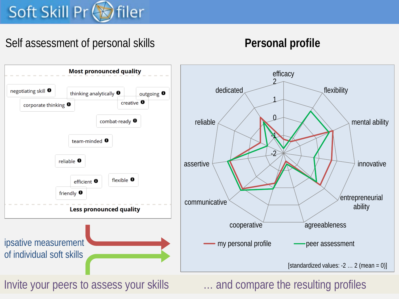# Soft Skill Pr < filer

# Self assessment of personal skills **Personal profile**



Invite your peers to assess your skills **Example 20** ... and compare the resulting profiles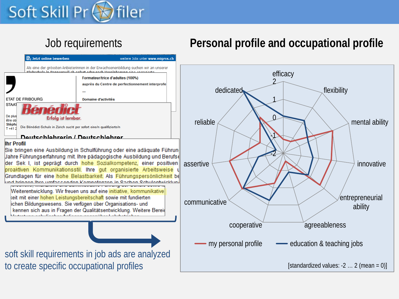### Soft Skill Pr filer

# Job requirements **Personal profile and occupational profile**

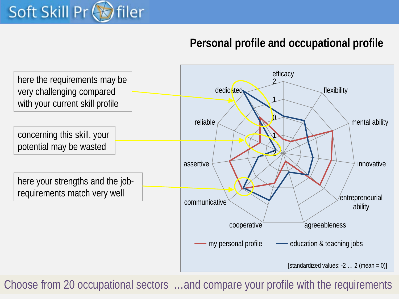

## **Personal profile and occupational profile**



Choose from 20 occupational sectors …and compare your profile with the requirements